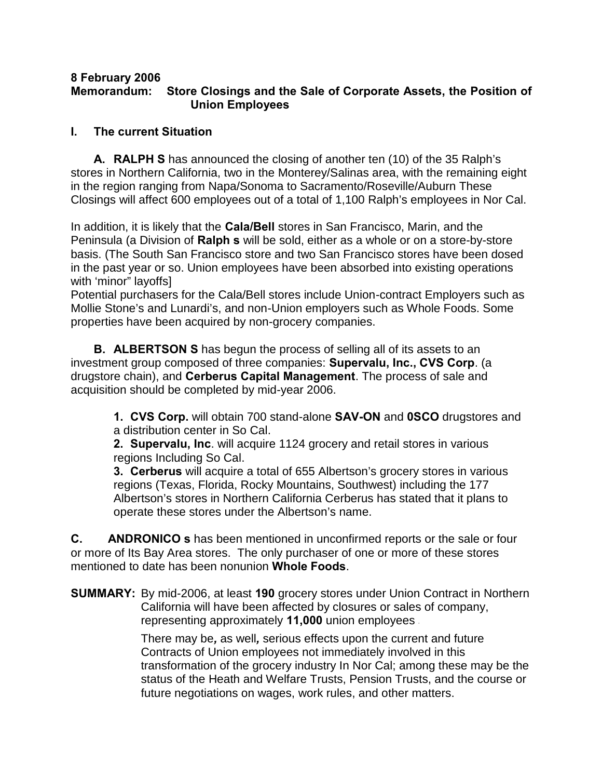#### **8 February 2006 Memorandum: Store Closings and the Sale of Corporate Assets, the Position of Union Employees**

# **I. The current Situation**

**A. RALPH'S** has announced the closing of another ten (10) of the 35 Ralph's stores in Northern California, two in the Monterey/Salinas area, with the remaining eight in the region ranging from Napa/Sonoma to Sacramento/Roseville/Auburn These Closings will affect 600 employees out of a total of 1,100 Ralph's employees in Nor Cal.

In addition, it is likely that the **Cala/Bell** stores in San Francisco, Marin, and the Peninsula (a Division of **Ralph's** will be sold, either as a whole or on a store-by-store basis. (The South San Francisco store and two San Francisco stores have been dosed in the past year or so. Union employees have been absorbed into existing operations with 'minor" layoffs]

Potential purchasers for the Cala/Bell stores include Union-contract Employers such as Mollie Stone's and Lunardi's, and non-Union employers such as Whole Foods. Some properties have been acquired by non-grocery companies.

**B. ALBERTSON'S** has begun the process of selling all of its assets to an investment group composed of three companies: **Supervalu, Inc., CVS Corp**. (a drugstore chain), and **Cerberus Capital Management**. The process of sale and acquisition should be completed by mid-year 2006.

> **1. CVS Corp.** will obtain 700 stand-alone **SAV-ON** and **0SCO** drugstores and a distribution center in So Cal.

**2. Supervalu, Inc**. will acquire 1124 grocery and retail stores in various regions Including So Cal.

**3. Cerberus** will acquire a total of 655 Albertson's grocery stores in various regions (Texas, Florida, Rocky Mountains, Southwest) including the 177 Albertson's stores in Northern California Cerberus has stated that it plans to operate these stores under the Albertson's name.

**C. ANDRONICO** s has been mentioned in unconfirmed reports or the sale or four or more of Its Bay Area stores. The only purchaser of one or more of these stores mentioned to date has been nonunion **Whole Foods**.

**SUMMARY:** By mid-2006, at least **190** grocery stores under Union Contract in Northern California will have been affected by closures or sales of company, representing approximately **11,000** union employees -

> There may be*,* as well*,* serious effects upon the current and future Contracts of Union employees not immediately involved in this transformation of the grocery industry In Nor Cal; among these may be the status of the Heath and Welfare Trusts, Pension Trusts, and the course or future negotiations on wages, work rules, and other matters.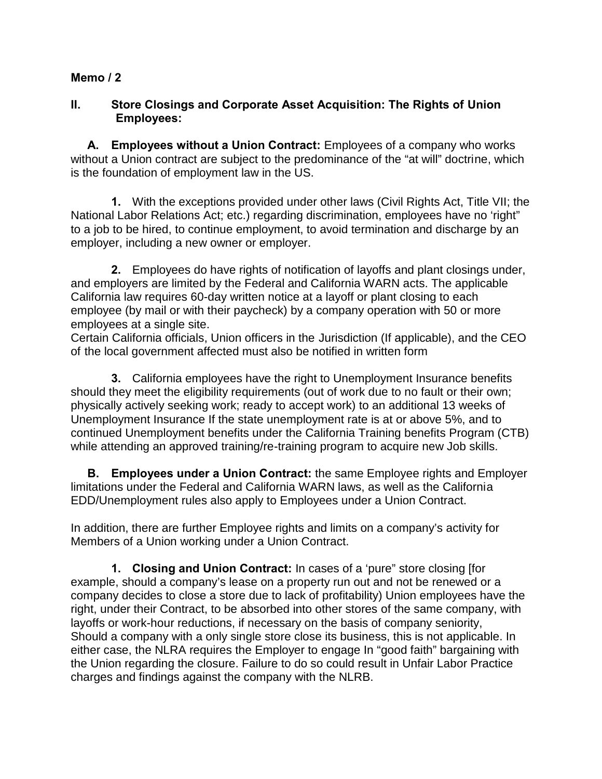## **II. Store Closings and Corporate Asset Acquisition: The Rights of Union Employees:**

**A. Employees without a Union Contract:** Employees of a company who works without a Union contract are subject to the predominance of the "at will" doctrine, which is the foundation of employment law in the US.

**1.** With the exceptions provided under other laws (Civil Rights Act, Title VII; the National Labor Relations Act; etc.) regarding discrimination, employees have no 'right" to a job to be hired, to continue employment, to avoid termination and discharge by an employer, including a new owner or employer.

**2.** Employees do have rights of notification of layoffs and plant closings under, and employers are limited by the Federal and California WARN acts. The applicable California law requires 60-day written notice at a layoff or plant closing to each employee (by mail or with their paycheck) by a company operation with 50 or more employees at a single site.

Certain California officials, Union officers in the Jurisdiction (If applicable), and the CEO of the local government affected must also be notified in written form

**3.** California employees have the right to Unemployment Insurance benefits should they meet the eligibility requirements (out of work due to no fault or their own; physically actively seeking work; ready to accept work) to an additional 13 weeks of Unemployment Insurance If the state unemployment rate is at or above 5%, and to continued Unemployment benefits under the California Training benefits Program (CTB) while attending an approved training/re-training program to acquire new Job skills.

**B. Employees under a Union Contract:** the same Employee rights and Employer limitations under the Federal and California WARN laws, as well as the California EDD/Unemployment rules also apply to Employees under a Union Contract.

In addition, there are further Employee rights and limits on a company's activity for Members of a Union working under a Union Contract.

**1. Closing and Union Contract:** In cases of a 'pure" store closing [for example, should a company's lease on a property run out and not be renewed or a company decides to close a store due to lack of profitability) Union employees have the right, under their Contract, to be absorbed into other stores of the same company, with layoffs or work-hour reductions, if necessary on the basis of company seniority, Should a company with a only single store close its business, this is not applicable. In either case, the NLRA requires the Employer to engage In "good faith" bargaining with the Union regarding the closure. Failure to do so could result in Unfair Labor Practice charges and findings against the company with the NLRB.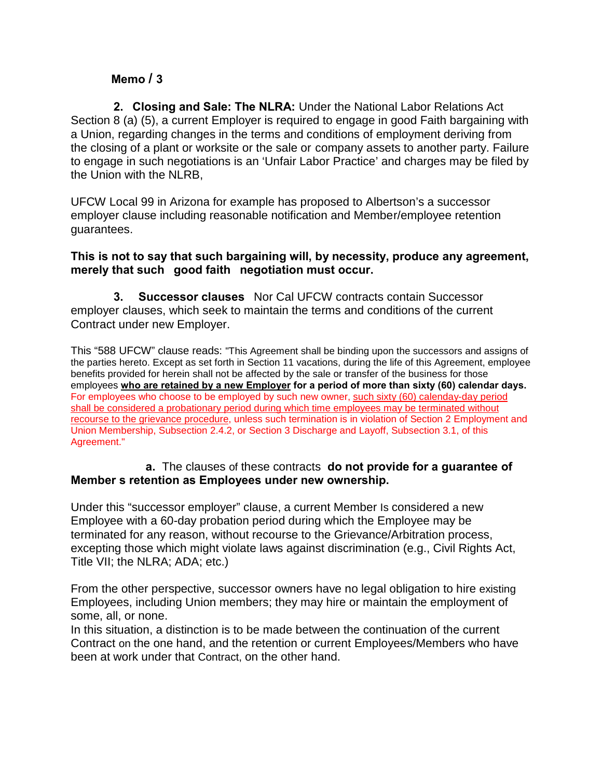**2. Closing and SaIe: The NLRA:** Under the National Labor Relations Act Section 8 (a) (5), a current Employer is required to engage in good Faith bargaining with a Union, regarding changes in the terms and conditions of employment deriving from the closing of a plant or worksite or the sale or company assets to another party. Failure to engage in such negotiations is an 'Unfair Labor Practice' and charges may be filed by the Union with the NLRB,

UFCW Local 99 in Arizona for example has proposed to Albertson's a successor employer clause including reasonable notification and Member/employee retention guarantees.

### **This is not to say that such bargaining will, by necessity, produce any agreement,**  merely that such good faith negotiation must occur.

**3. "Successor clauses"** Nor Cal UFCW contracts contain Successor employer clauses, which seek to maintain the terms and conditions of the current Contract under new Employer.

This "588 UFCW" clause reads: "This Agreement shall be binding upon the successors and assigns of the parties hereto. Except as set forth in Section 11 vacations, during the life of this Agreement, employee benefits provided for herein shall not be affected by the sale or transfer of the business for those employees **who are retained by a new Employer for a period of more than sixty (60) calendar days.** For employees who choose to be employed by such new owner, such sixty (60) calenday-day period shall be considered a probationary period during which time employees may be terminated without recourse to the grievance procedure, unless such termination is in violation of Section 2 Employment and Union Membership, Subsection 2.4.2, or Section 3 Discharge and Layoff, Subsection 3.1, of this Agreement."

### **a.** The clauses of these contracts **do not provide for a guarantee of Member's retention as Employees under new ownership.**

Under this "successor employer" clause, a current Member Is considered a new Employee with a 60-day probation period during which the Employee may be terminated for any reason, without recourse to the Grievance/Arbitration process, excepting those which might violate laws against discrimination (e.g., Civil Rights Act, Title VII; the NLRA; ADA; etc.)

From the other perspective, successor owners have no legal obligation to hire existing Employees, including Union members; they may hire or maintain the employment of some, all, or none.

In this situation, a distinction is to be made between the continuation of the current Contract on the one hand, and the retention or current Employees/Members who have been at work under that Contract, on the other hand.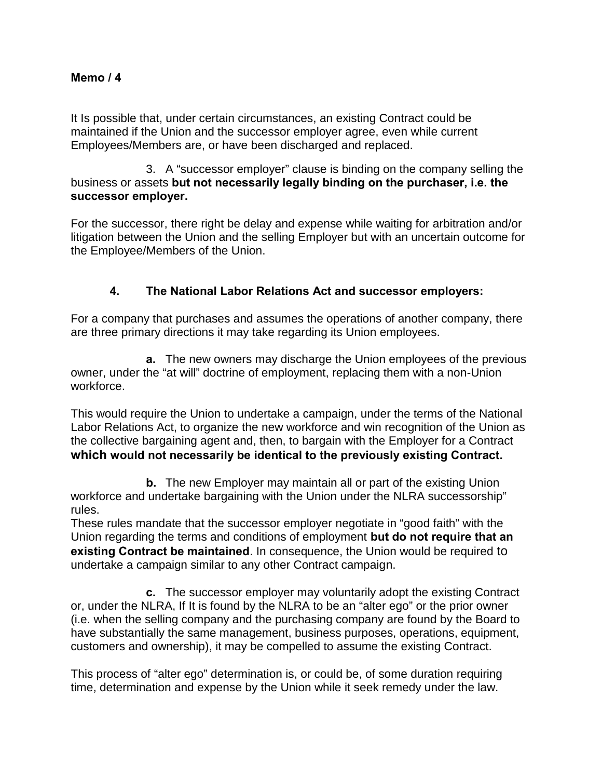It Is possible that, under certain circumstances, an existing Contract could be maintained if the Union and the successor employer agree, even while current Employees/Members are, or have been discharged and replaced.

3. A "successor employer" clause is binding on the company selling the business or assets **but not necessarily legally binding on the purchaser, i.e. the successor employer.**

For the successor, there right be delay and expense while waiting for arbitration and/or litigation between the Union and the selling Employer but with an uncertain outcome for the Employee/Members of the Union.

# **4. The National Labor Relations Act and successor employers:**

For a company that purchases and assumes the operations of another company, there are three primary directions it may take regarding its Union employees.

**a.** The new owners may discharge the Union employees of the previous owner, under the "at will" doctrine of employment, replacing them with a non-Union workforce.

This would require the Union to undertake a campaign, under the terms of the National Labor Relations Act, to organize the new workforce and win recognition of the Union as the collective bargaining agent and, then, to bargain with the Employer for a Contract **which would not necessarily be identical to the previously existing Contract.**

**b.** The new Employer may maintain all or part of the existing Union workforce and undertake bargaining with the Union under the NLRA successorship" rules.

These rules mandate that the successor employer negotiate in "good faith" with the Union regarding the terms and conditions of employment **but do not require that an existing Contract be maintained**. In consequence, the Union would be required to undertake a campaign similar to any other Contract campaign.

**c.** The successor employer may voluntarily adopt the existing Contract or, under the NLRA, If It is found by the NLRA to be an "alter ego" or the prior owner (i.e. when the selling company and the purchasing company are found by the Board to have substantially the same management, business purposes, operations, equipment, customers and ownership), it may be compelled to assume the existing Contract.

This process of "alter ego" determination is, or could be, of some duration requiring time, determination and expense by the Union while it seek remedy under the law.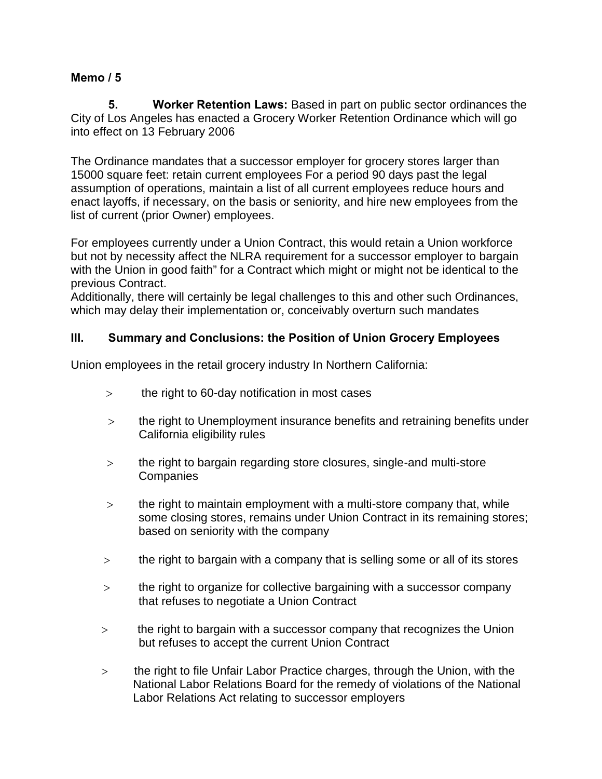**5. Worker Retention Laws:** Based in part on public sector ordinances the City of Los Angeles has enacted a Grocery Worker Retention Ordinance which will go into effect on 13 February 2006

The Ordinance mandates that a successor employer for grocery stores larger than 15000 square feet: retain current employees For a period 90 days past the legal assumption of operations, maintain a list of all current employees reduce hours and enact layoffs, if necessary, on the basis or seniority, and hire new employees from the list of current (prior Owner) employees.

For employees currently under a Union Contract, this would retain a Union workforce but not by necessity affect the NLRA requirement for a successor employer to bargain with the Union in good faith" for a Contract which might or might not be identical to the previous Contract.

Additionally, there will certainly be legal challenges to this and other such Ordinances, which may delay their implementation or, conceivably overturn such mandates

# **III. Summary and Conclusions: the Position of Union Grocery Employees**

Union employees in the retail grocery industry In Northern California:

- **>** the right to 60-day notification in most cases
- **>** the right to Unemployment insurance benefits and retraining benefits under California eligibility rules
- **>** the right to bargain regarding store closures, single-and multi-store **Companies**
- **>** the right to maintain employment with a multi-store company that, while some closing stores, remains under Union Contract in its remaining stores; based on seniority with the company
- **>** the right to bargain with a company that is selling some or all of its stores
- **>** the right to organize for collective bargaining with a successor company that refuses to negotiate a Union Contract
- **>** the right to bargain with a successor company that recognizes the Union but refuses to accept the current Union Contract
- **>** the right to file Unfair Labor Practice charges, through the Union, with the National Labor Relations Board for the remedy of violations of the National Labor Relations Act relating to successor employers